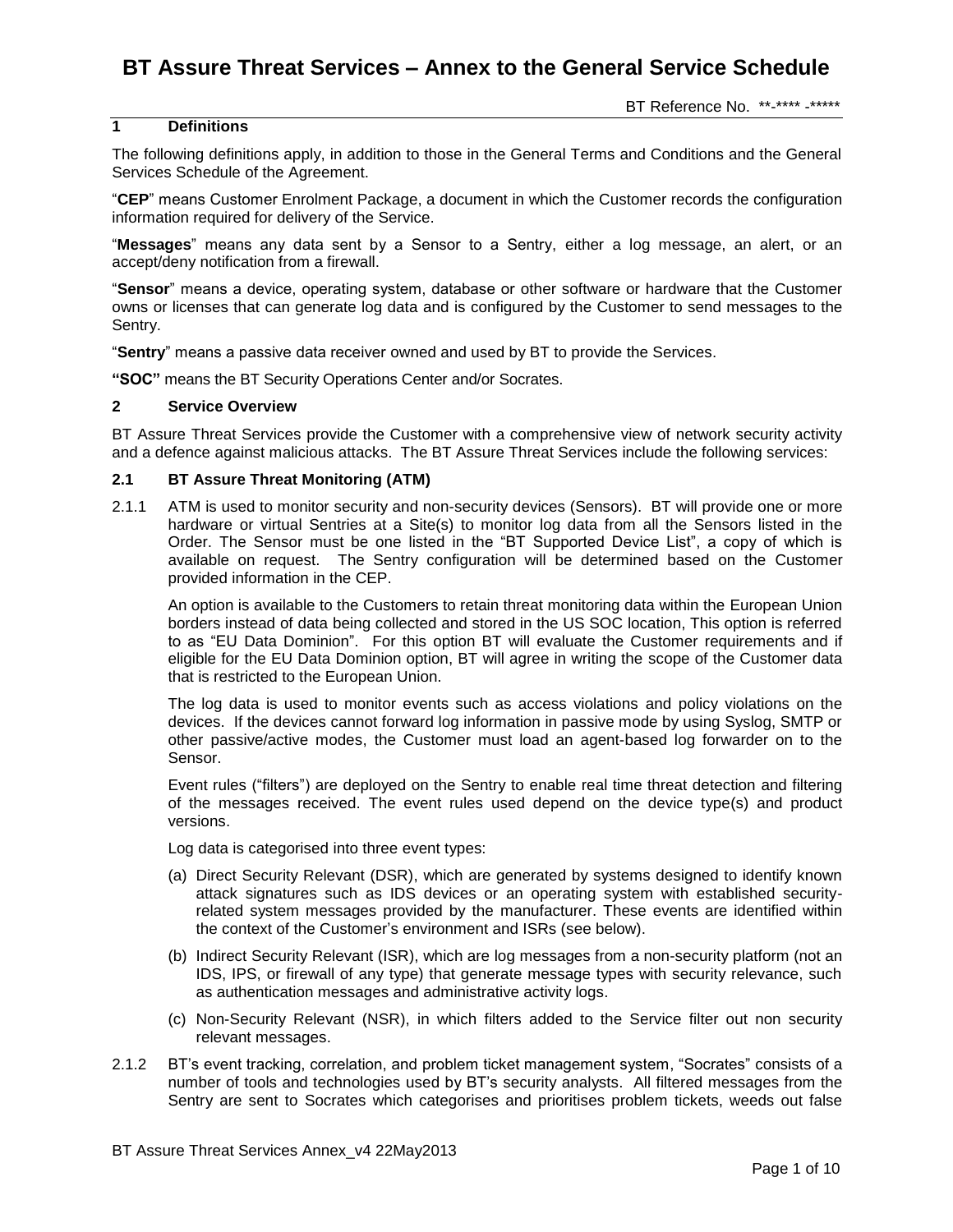#### BT Reference No. \*\*-\*\*\*\* -\*\*\*\*\*

### **1 Definitions**

The following definitions apply, in addition to those in the General Terms and Conditions and the General Services Schedule of the Agreement.

"**CEP**" means Customer Enrolment Package, a document in which the Customer records the configuration information required for delivery of the Service.

"**Messages**" means any data sent by a Sensor to a Sentry, either a log message, an alert, or an accept/deny notification from a firewall.

"**Sensor**" means a device, operating system, database or other software or hardware that the Customer owns or licenses that can generate log data and is configured by the Customer to send messages to the Sentry.

"**Sentry**" means a passive data receiver owned and used by BT to provide the Services.

**"SOC"** means the BT Security Operations Center and/or Socrates.

#### **2 Service Overview**

BT Assure Threat Services provide the Customer with a comprehensive view of network security activity and a defence against malicious attacks. The BT Assure Threat Services include the following services:

### **2.1 BT Assure Threat Monitoring (ATM)**

2.1.1 ATM is used to monitor security and non-security devices (Sensors). BT will provide one or more hardware or virtual Sentries at a Site(s) to monitor log data from all the Sensors listed in the Order. The Sensor must be one listed in the "BT Supported Device List", a copy of which is available on request. The Sentry configuration will be determined based on the Customer provided information in the CEP.

An option is available to the Customers to retain threat monitoring data within the European Union borders instead of data being collected and stored in the US SOC location, This option is referred to as "EU Data Dominion". For this option BT will evaluate the Customer requirements and if eligible for the EU Data Dominion option, BT will agree in writing the scope of the Customer data that is restricted to the European Union.

The log data is used to monitor events such as access violations and policy violations on the devices. If the devices cannot forward log information in passive mode by using Syslog, SMTP or other passive/active modes, the Customer must load an agent-based log forwarder on to the Sensor.

Event rules ("filters") are deployed on the Sentry to enable real time threat detection and filtering of the messages received. The event rules used depend on the device type(s) and product versions.

Log data is categorised into three event types:

- (a) Direct Security Relevant (DSR), which are generated by systems designed to identify known attack signatures such as IDS devices or an operating system with established securityrelated system messages provided by the manufacturer. These events are identified within the context of the Customer's environment and ISRs (see below).
- (b) Indirect Security Relevant (ISR), which are log messages from a non-security platform (not an IDS, IPS, or firewall of any type) that generate message types with security relevance, such as authentication messages and administrative activity logs.
- (c) Non-Security Relevant (NSR), in which filters added to the Service filter out non security relevant messages.
- 2.1.2 BT's event tracking, correlation, and problem ticket management system, "Socrates" consists of a number of tools and technologies used by BT's security analysts. All filtered messages from the Sentry are sent to Socrates which categorises and prioritises problem tickets, weeds out false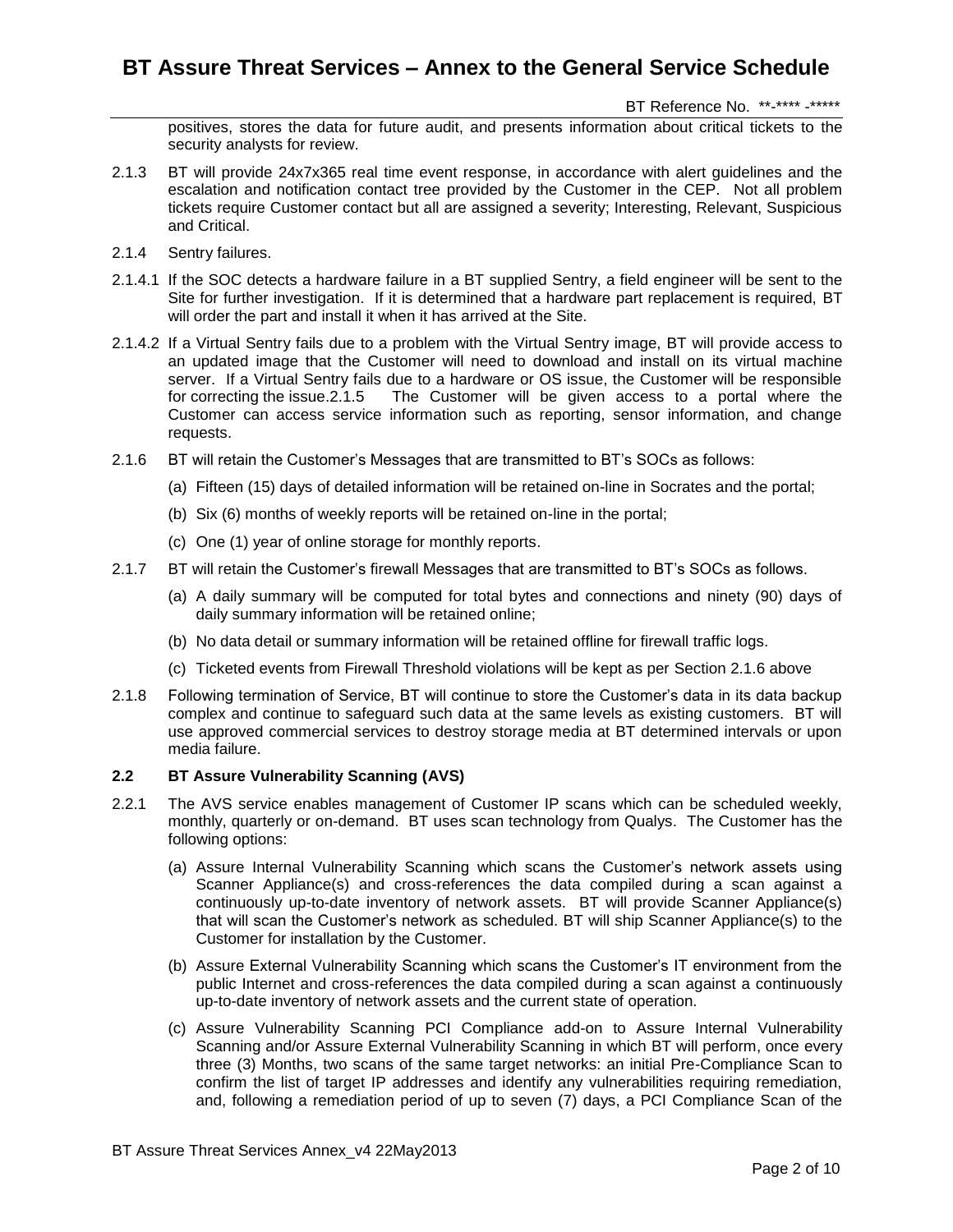BT Reference No. \*\*-\*\*\*\* -\*\*\*\*\*

positives, stores the data for future audit, and presents information about critical tickets to the security analysts for review.

- 2.1.3 BT will provide 24x7x365 real time event response, in accordance with alert guidelines and the escalation and notification contact tree provided by the Customer in the CEP. Not all problem tickets require Customer contact but all are assigned a severity; Interesting, Relevant, Suspicious and Critical.
- 2.1.4 Sentry failures.
- 2.1.4.1 If the SOC detects a hardware failure in a BT supplied Sentry, a field engineer will be sent to the Site for further investigation. If it is determined that a hardware part replacement is required, BT will order the part and install it when it has arrived at the Site.
- 2.1.4.2 If a Virtual Sentry fails due to a problem with the Virtual Sentry image, BT will provide access to an updated image that the Customer will need to download and install on its virtual machine server. If a Virtual Sentry fails due to a hardware or OS issue, the Customer will be responsible for correcting the issue.2.1.5 The Customer will be given access to a portal where the Customer can access service information such as reporting, sensor information, and change requests.
- 2.1.6 BT will retain the Customer's Messages that are transmitted to BT's SOCs as follows:
	- (a) Fifteen (15) days of detailed information will be retained on-line in Socrates and the portal;
	- (b) Six (6) months of weekly reports will be retained on-line in the portal;
	- (c) One (1) year of online storage for monthly reports.
- 2.1.7 BT will retain the Customer's firewall Messages that are transmitted to BT's SOCs as follows.
	- (a) A daily summary will be computed for total bytes and connections and ninety (90) days of daily summary information will be retained online;
	- (b) No data detail or summary information will be retained offline for firewall traffic logs.
	- (c) Ticketed events from Firewall Threshold violations will be kept as per Section 2.1.6 above
- 2.1.8 Following termination of Service, BT will continue to store the Customer's data in its data backup complex and continue to safeguard such data at the same levels as existing customers. BT will use approved commercial services to destroy storage media at BT determined intervals or upon media failure.

#### **2.2 BT Assure Vulnerability Scanning (AVS)**

- 2.2.1 The AVS service enables management of Customer IP scans which can be scheduled weekly, monthly, quarterly or on-demand. BT uses scan technology from Qualys. The Customer has the following options:
	- (a) Assure Internal Vulnerability Scanning which scans the Customer's network assets using Scanner Appliance(s) and cross-references the data compiled during a scan against a continuously up-to-date inventory of network assets. BT will provide Scanner Appliance(s) that will scan the Customer's network as scheduled. BT will ship Scanner Appliance(s) to the Customer for installation by the Customer.
	- (b) Assure External Vulnerability Scanning which scans the Customer's IT environment from the public Internet and cross-references the data compiled during a scan against a continuously up-to-date inventory of network assets and the current state of operation.
	- (c) Assure Vulnerability Scanning PCI Compliance add-on to Assure Internal Vulnerability Scanning and/or Assure External Vulnerability Scanning in which BT will perform, once every three (3) Months, two scans of the same target networks: an initial Pre-Compliance Scan to confirm the list of target IP addresses and identify any vulnerabilities requiring remediation, and, following a remediation period of up to seven (7) days, a PCI Compliance Scan of the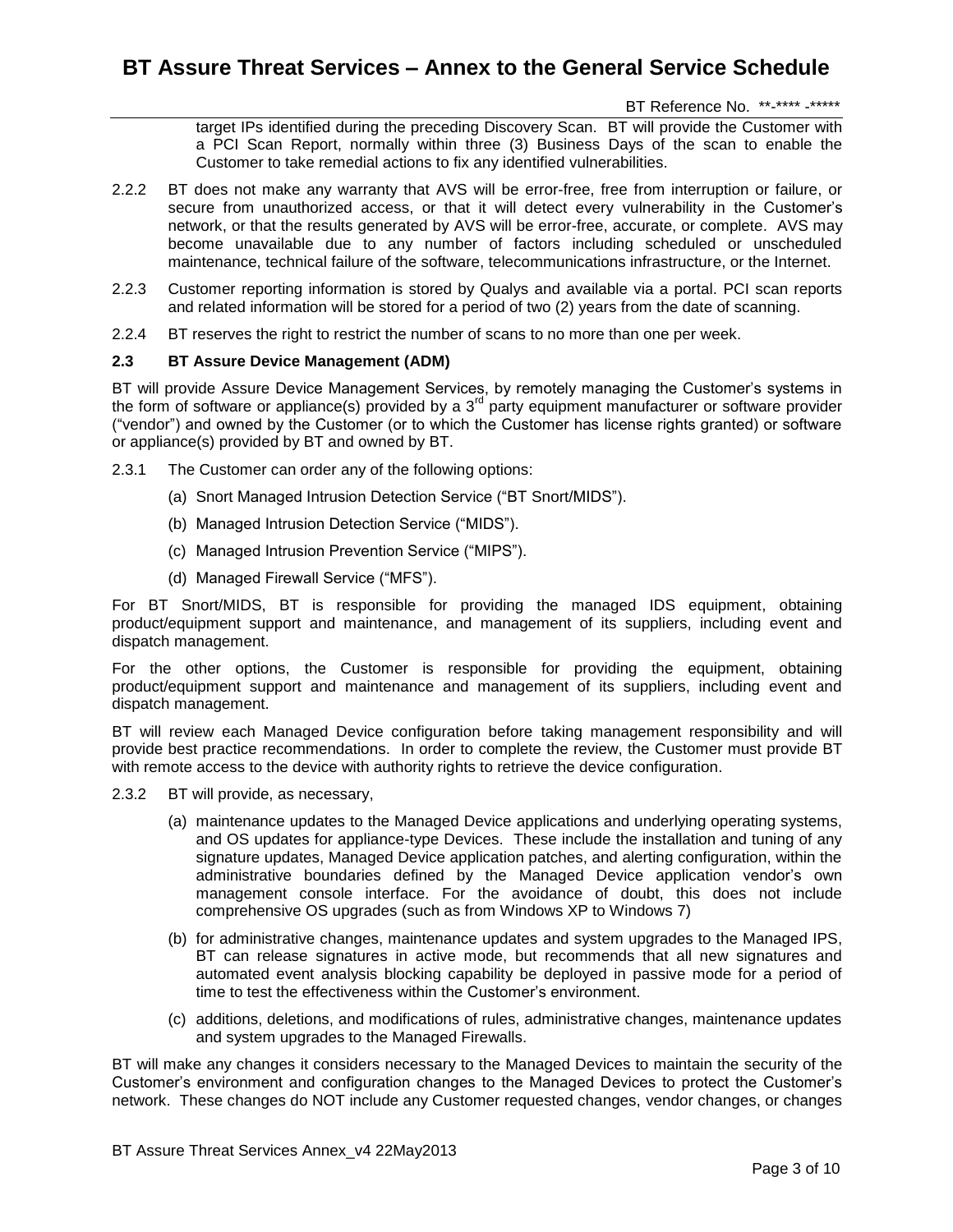BT Reference No. \*\*-\*\*\*\* -\*\*\*\*\*

target IPs identified during the preceding Discovery Scan. BT will provide the Customer with a PCI Scan Report, normally within three (3) Business Days of the scan to enable the Customer to take remedial actions to fix any identified vulnerabilities.

- 2.2.2 BT does not make any warranty that AVS will be error-free, free from interruption or failure, or secure from unauthorized access, or that it will detect every vulnerability in the Customer's network, or that the results generated by AVS will be error-free, accurate, or complete. AVS may become unavailable due to any number of factors including scheduled or unscheduled maintenance, technical failure of the software, telecommunications infrastructure, or the Internet.
- 2.2.3 Customer reporting information is stored by Qualys and available via a portal. PCI scan reports and related information will be stored for a period of two (2) years from the date of scanning.
- 2.2.4 BT reserves the right to restrict the number of scans to no more than one per week.

#### **2.3 BT Assure Device Management (ADM)**

BT will provide Assure Device Management Services, by remotely managing the Customer's systems in the form of software or appliance(s) provided by a  $3<sup>rd</sup>$  party equipment manufacturer or software provider ("vendor") and owned by the Customer (or to which the Customer has license rights granted) or software or appliance(s) provided by BT and owned by BT.

- 2.3.1 The Customer can order any of the following options:
	- (a) Snort Managed Intrusion Detection Service ("BT Snort/MIDS").
	- (b) Managed Intrusion Detection Service ("MIDS").
	- (c) Managed Intrusion Prevention Service ("MIPS").
	- (d) Managed Firewall Service ("MFS").

For BT Snort/MIDS, BT is responsible for providing the managed IDS equipment, obtaining product/equipment support and maintenance, and management of its suppliers, including event and dispatch management.

For the other options, the Customer is responsible for providing the equipment, obtaining product/equipment support and maintenance and management of its suppliers, including event and dispatch management.

BT will review each Managed Device configuration before taking management responsibility and will provide best practice recommendations. In order to complete the review, the Customer must provide BT with remote access to the device with authority rights to retrieve the device configuration.

- 2.3.2 BT will provide, as necessary,
	- (a) maintenance updates to the Managed Device applications and underlying operating systems, and OS updates for appliance-type Devices. These include the installation and tuning of any signature updates, Managed Device application patches, and alerting configuration, within the administrative boundaries defined by the Managed Device application vendor's own management console interface. For the avoidance of doubt, this does not include comprehensive OS upgrades (such as from Windows XP to Windows 7)
	- (b) for administrative changes, maintenance updates and system upgrades to the Managed IPS, BT can release signatures in active mode, but recommends that all new signatures and automated event analysis blocking capability be deployed in passive mode for a period of time to test the effectiveness within the Customer's environment.
	- (c) additions, deletions, and modifications of rules, administrative changes, maintenance updates and system upgrades to the Managed Firewalls.

BT will make any changes it considers necessary to the Managed Devices to maintain the security of the Customer's environment and configuration changes to the Managed Devices to protect the Customer's network. These changes do NOT include any Customer requested changes, vendor changes, or changes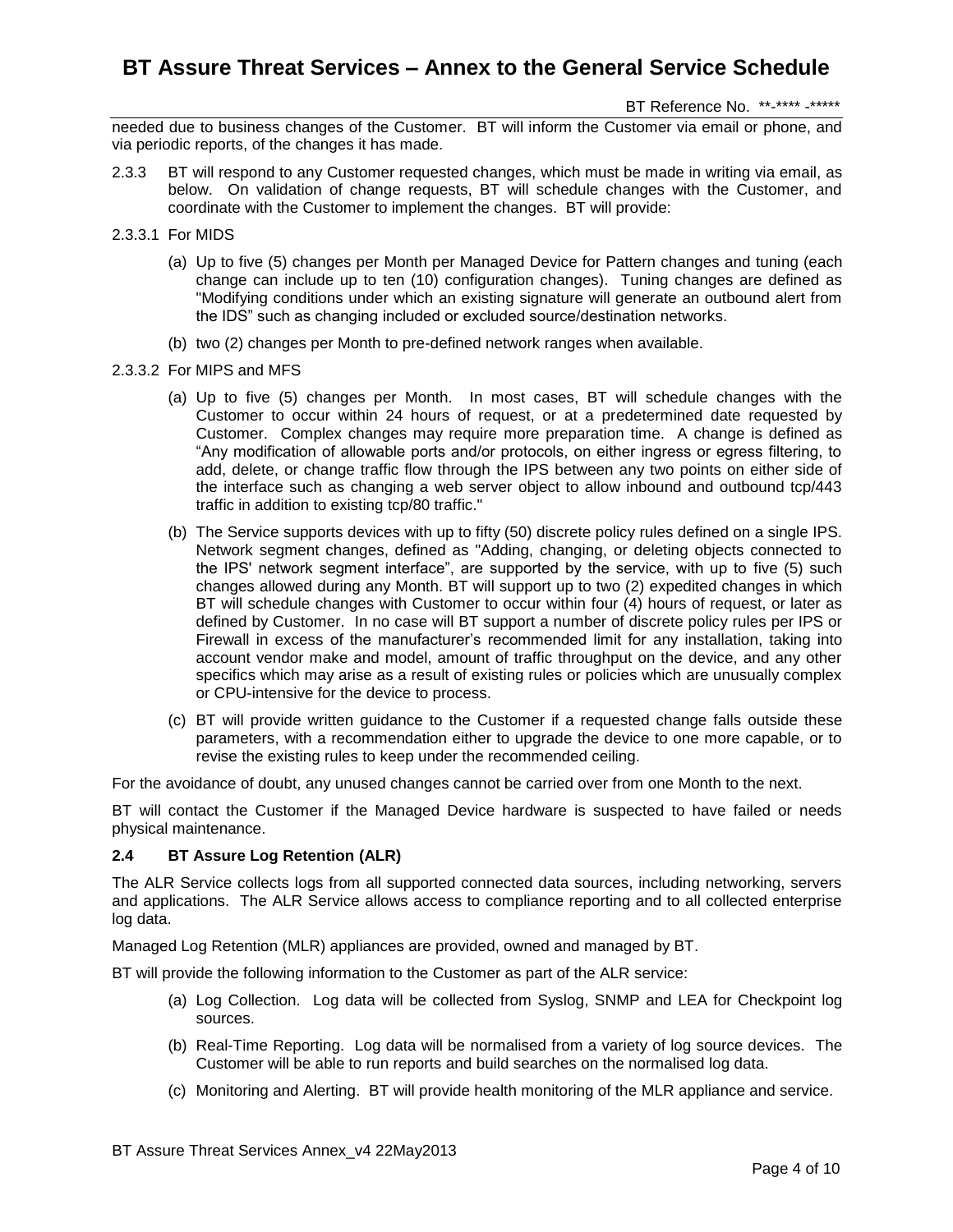BT Reference No. \*\*-\*\*\*\* -\*\*\*\*\*

needed due to business changes of the Customer. BT will inform the Customer via email or phone, and via periodic reports, of the changes it has made.

- 2.3.3 BT will respond to any Customer requested changes, which must be made in writing via email, as below. On validation of change requests, BT will schedule changes with the Customer, and coordinate with the Customer to implement the changes. BT will provide:
- 2.3.3.1 For MIDS
	- (a) Up to five (5) changes per Month per Managed Device for Pattern changes and tuning (each change can include up to ten (10) configuration changes). Tuning changes are defined as "Modifying conditions under which an existing signature will generate an outbound alert from the IDS" such as changing included or excluded source/destination networks.
	- (b) two (2) changes per Month to pre-defined network ranges when available.
- 2.3.3.2 For MIPS and MFS
	- (a) Up to five (5) changes per Month. In most cases, BT will schedule changes with the Customer to occur within 24 hours of request, or at a predetermined date requested by Customer. Complex changes may require more preparation time. A change is defined as "Any modification of allowable ports and/or protocols, on either ingress or egress filtering, to add, delete, or change traffic flow through the IPS between any two points on either side of the interface such as changing a web server object to allow inbound and outbound tcp/443 traffic in addition to existing tcp/80 traffic."
	- (b) The Service supports devices with up to fifty (50) discrete policy rules defined on a single IPS. Network segment changes, defined as "Adding, changing, or deleting objects connected to the IPS' network segment interface", are supported by the service, with up to five (5) such changes allowed during any Month. BT will support up to two (2) expedited changes in which BT will schedule changes with Customer to occur within four (4) hours of request, or later as defined by Customer. In no case will BT support a number of discrete policy rules per IPS or Firewall in excess of the manufacturer's recommended limit for any installation, taking into account vendor make and model, amount of traffic throughput on the device, and any other specifics which may arise as a result of existing rules or policies which are unusually complex or CPU-intensive for the device to process.
	- (c) BT will provide written guidance to the Customer if a requested change falls outside these parameters, with a recommendation either to upgrade the device to one more capable, or to revise the existing rules to keep under the recommended ceiling.

For the avoidance of doubt, any unused changes cannot be carried over from one Month to the next.

BT will contact the Customer if the Managed Device hardware is suspected to have failed or needs physical maintenance.

### **2.4 BT Assure Log Retention (ALR)**

The ALR Service collects logs from all supported connected data sources, including networking, servers and applications. The ALR Service allows access to compliance reporting and to all collected enterprise log data.

Managed Log Retention (MLR) appliances are provided, owned and managed by BT.

BT will provide the following information to the Customer as part of the ALR service:

- (a) Log Collection. Log data will be collected from Syslog, SNMP and LEA for Checkpoint log sources.
- (b) Real-Time Reporting. Log data will be normalised from a variety of log source devices. The Customer will be able to run reports and build searches on the normalised log data.
- (c) Monitoring and Alerting. BT will provide health monitoring of the MLR appliance and service.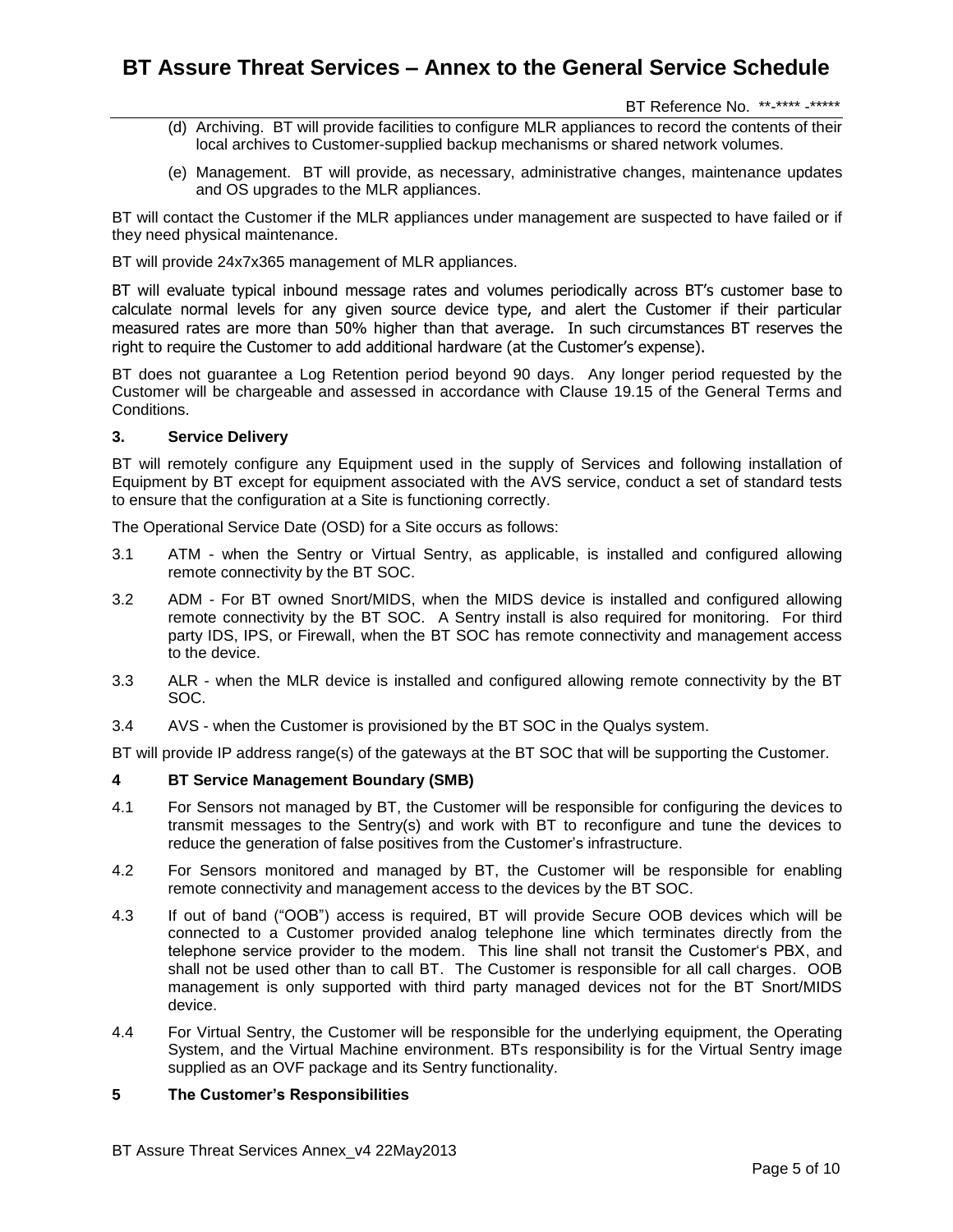BT Reference No. \*\*-\*\*\*\* -\*\*\*\*\*

- (d) Archiving. BT will provide facilities to configure MLR appliances to record the contents of their local archives to Customer-supplied backup mechanisms or shared network volumes.
- (e) Management. BT will provide, as necessary, administrative changes, maintenance updates and OS upgrades to the MLR appliances.

BT will contact the Customer if the MLR appliances under management are suspected to have failed or if they need physical maintenance.

BT will provide 24x7x365 management of MLR appliances.

BT will evaluate typical inbound message rates and volumes periodically across BT's customer base to calculate normal levels for any given source device type, and alert the Customer if their particular measured rates are more than 50% higher than that average. In such circumstances BT reserves the right to require the Customer to add additional hardware (at the Customer's expense).

BT does not guarantee a Log Retention period beyond 90 days. Any longer period requested by the Customer will be chargeable and assessed in accordance with Clause 19.15 of the General Terms and Conditions.

#### **3. Service Delivery**

BT will remotely configure any Equipment used in the supply of Services and following installation of Equipment by BT except for equipment associated with the AVS service, conduct a set of standard tests to ensure that the configuration at a Site is functioning correctly.

The Operational Service Date (OSD) for a Site occurs as follows:

- 3.1 ATM when the Sentry or Virtual Sentry, as applicable, is installed and configured allowing remote connectivity by the BT SOC.
- 3.2 ADM For BT owned Snort/MIDS, when the MIDS device is installed and configured allowing remote connectivity by the BT SOC. A Sentry install is also required for monitoring. For third party IDS, IPS, or Firewall, when the BT SOC has remote connectivity and management access to the device.
- 3.3 ALR when the MLR device is installed and configured allowing remote connectivity by the BT SOC.
- 3.4 AVS when the Customer is provisioned by the BT SOC in the Qualys system.

BT will provide IP address range(s) of the gateways at the BT SOC that will be supporting the Customer.

### **4 BT Service Management Boundary (SMB)**

- 4.1 For Sensors not managed by BT, the Customer will be responsible for configuring the devices to transmit messages to the Sentry(s) and work with BT to reconfigure and tune the devices to reduce the generation of false positives from the Customer's infrastructure.
- 4.2 For Sensors monitored and managed by BT, the Customer will be responsible for enabling remote connectivity and management access to the devices by the BT SOC.
- 4.3 If out of band ("OOB") access is required, BT will provide Secure OOB devices which will be connected to a Customer provided analog telephone line which terminates directly from the telephone service provider to the modem. This line shall not transit the Customer's PBX, and shall not be used other than to call BT. The Customer is responsible for all call charges. OOB management is only supported with third party managed devices not for the BT Snort/MIDS device.
- 4.4 For Virtual Sentry, the Customer will be responsible for the underlying equipment, the Operating System, and the Virtual Machine environment. BTs responsibility is for the Virtual Sentry image supplied as an OVF package and its Sentry functionality.

### **5 The Customer's Responsibilities**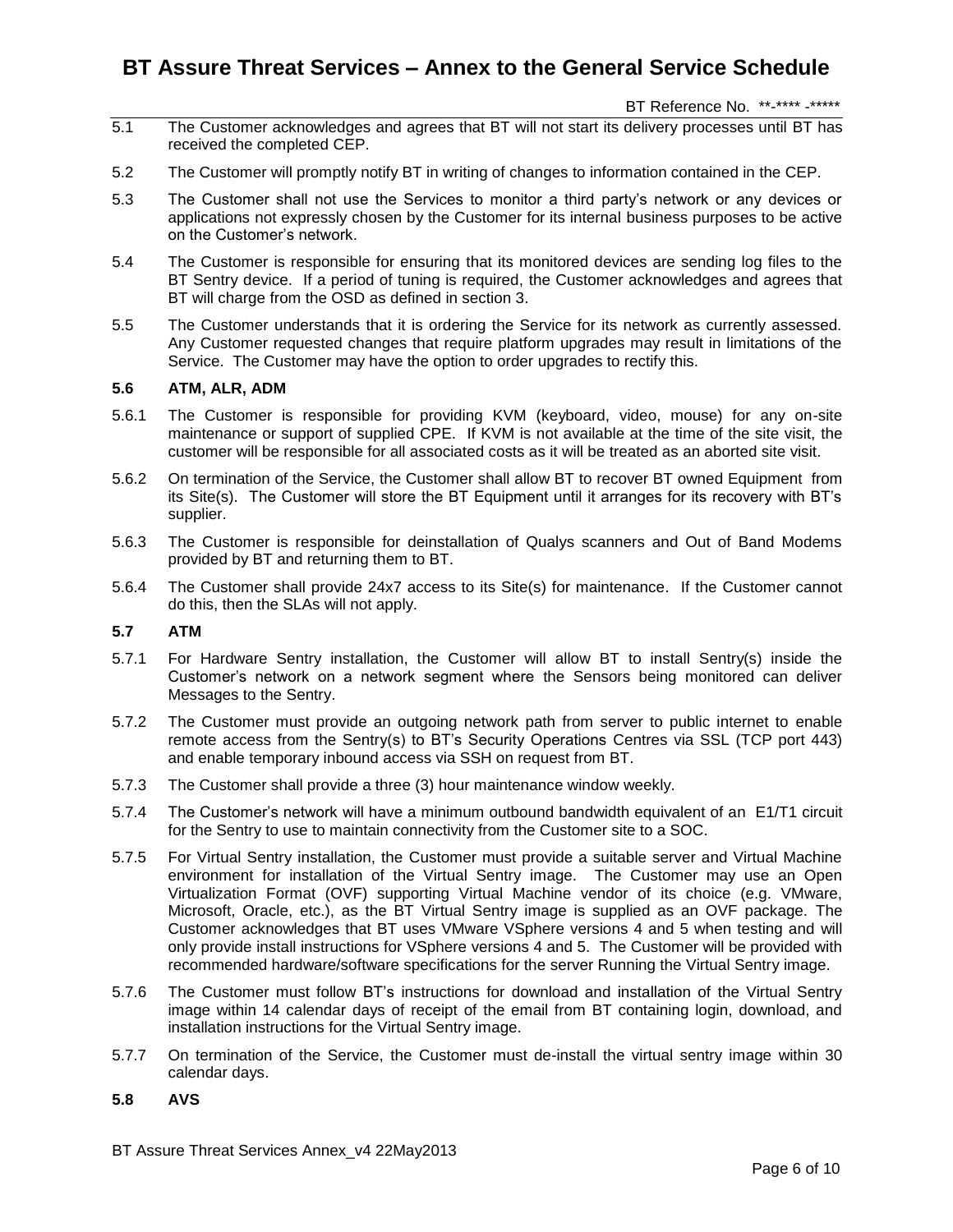BT Reference No. \*\*-\*\*\*\* -\*\*\*\*\*

- 5.1 The Customer acknowledges and agrees that BT will not start its delivery processes until BT has received the completed CEP.
- 5.2 The Customer will promptly notify BT in writing of changes to information contained in the CEP.
- 5.3 The Customer shall not use the Services to monitor a third party's network or any devices or applications not expressly chosen by the Customer for its internal business purposes to be active on the Customer's network.
- 5.4 The Customer is responsible for ensuring that its monitored devices are sending log files to the BT Sentry device. If a period of tuning is required, the Customer acknowledges and agrees that BT will charge from the OSD as defined in section 3.
- 5.5 The Customer understands that it is ordering the Service for its network as currently assessed. Any Customer requested changes that require platform upgrades may result in limitations of the Service. The Customer may have the option to order upgrades to rectify this.

#### **5.6 ATM, ALR, ADM**

- 5.6.1 The Customer is responsible for providing KVM (keyboard, video, mouse) for any on-site maintenance or support of supplied CPE. If KVM is not available at the time of the site visit, the customer will be responsible for all associated costs as it will be treated as an aborted site visit.
- 5.6.2 On termination of the Service, the Customer shall allow BT to recover BT owned Equipment from its Site(s). The Customer will store the BT Equipment until it arranges for its recovery with BT's supplier.
- 5.6.3 The Customer is responsible for deinstallation of Qualys scanners and Out of Band Modems provided by BT and returning them to BT.
- 5.6.4 The Customer shall provide 24x7 access to its Site(s) for maintenance. If the Customer cannot do this, then the SLAs will not apply.

#### **5.7 ATM**

- 5.7.1 For Hardware Sentry installation, the Customer will allow BT to install Sentry(s) inside the Customer's network on a network segment where the Sensors being monitored can deliver Messages to the Sentry.
- 5.7.2 The Customer must provide an outgoing network path from server to public internet to enable remote access from the Sentry(s) to BT's Security Operations Centres via SSL (TCP port 443) and enable temporary inbound access via SSH on request from BT.
- 5.7.3 The Customer shall provide a three (3) hour maintenance window weekly.
- 5.7.4 The Customer's network will have a minimum outbound bandwidth equivalent of an E1/T1 circuit for the Sentry to use to maintain connectivity from the Customer site to a SOC.
- 5.7.5 For Virtual Sentry installation, the Customer must provide a suitable server and Virtual Machine environment for installation of the Virtual Sentry image. The Customer may use an Open Virtualization Format (OVF) supporting Virtual Machine vendor of its choice (e.g. VMware, Microsoft, Oracle, etc.), as the BT Virtual Sentry image is supplied as an OVF package. The Customer acknowledges that BT uses VMware VSphere versions 4 and 5 when testing and will only provide install instructions for VSphere versions 4 and 5. The Customer will be provided with recommended hardware/software specifications for the server Running the Virtual Sentry image.
- 5.7.6 The Customer must follow BT's instructions for download and installation of the Virtual Sentry image within 14 calendar days of receipt of the email from BT containing login, download, and installation instructions for the Virtual Sentry image.
- 5.7.7 On termination of the Service, the Customer must de-install the virtual sentry image within 30 calendar days.

### **5.8 AVS**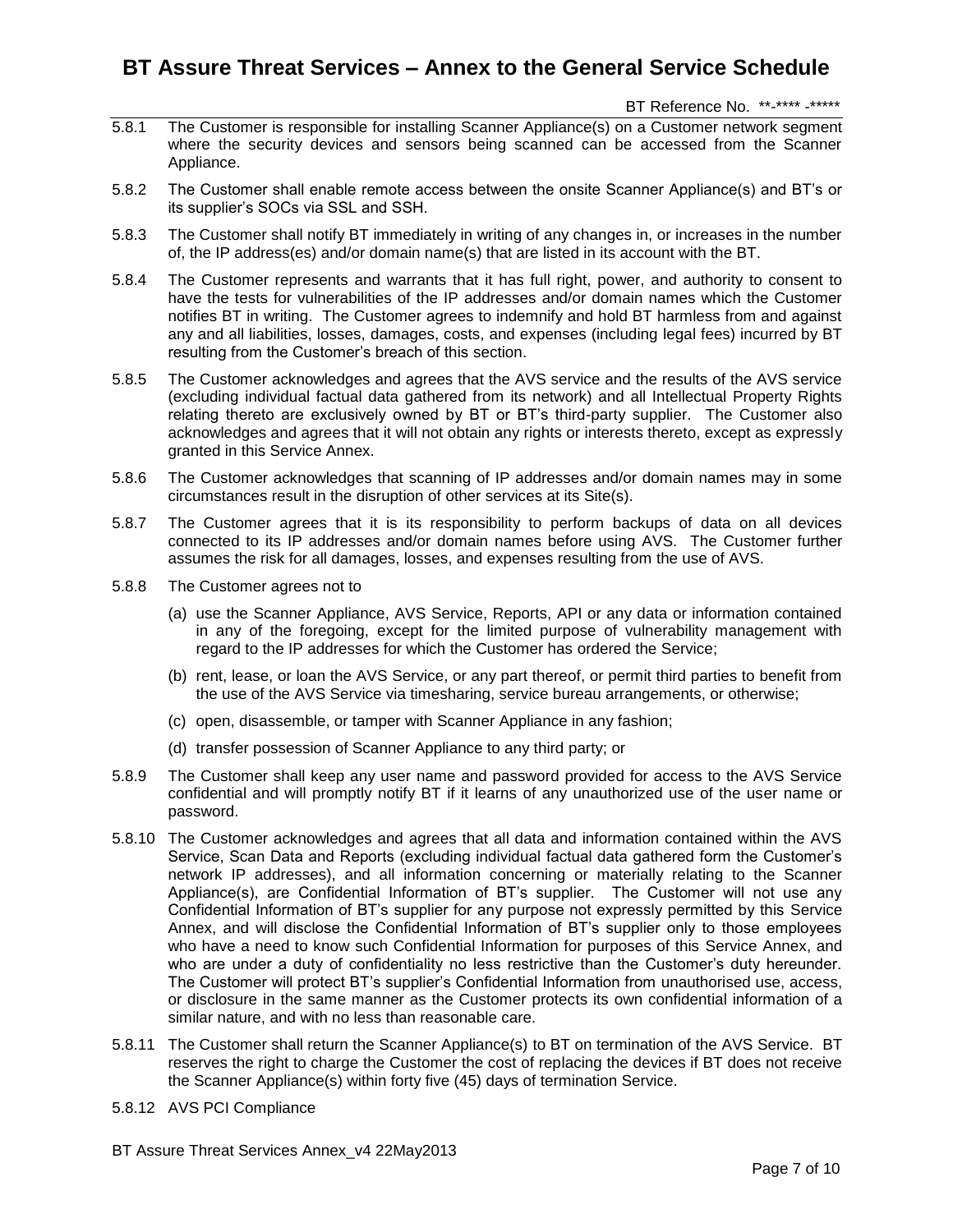BT Reference No. \*\*-\*\*\*\* -\*\*\*\*\*

- 5.8.1 The Customer is responsible for installing Scanner Appliance(s) on a Customer network segment where the security devices and sensors being scanned can be accessed from the Scanner Appliance.
- 5.8.2 The Customer shall enable remote access between the onsite Scanner Appliance(s) and BT's or its supplier's SOCs via SSL and SSH.
- 5.8.3 The Customer shall notify BT immediately in writing of any changes in, or increases in the number of, the IP address(es) and/or domain name(s) that are listed in its account with the BT.
- 5.8.4 The Customer represents and warrants that it has full right, power, and authority to consent to have the tests for vulnerabilities of the IP addresses and/or domain names which the Customer notifies BT in writing. The Customer agrees to indemnify and hold BT harmless from and against any and all liabilities, losses, damages, costs, and expenses (including legal fees) incurred by BT resulting from the Customer's breach of this section.
- 5.8.5 The Customer acknowledges and agrees that the AVS service and the results of the AVS service (excluding individual factual data gathered from its network) and all Intellectual Property Rights relating thereto are exclusively owned by BT or BT's third-party supplier. The Customer also acknowledges and agrees that it will not obtain any rights or interests thereto, except as expressly granted in this Service Annex.
- 5.8.6 The Customer acknowledges that scanning of IP addresses and/or domain names may in some circumstances result in the disruption of other services at its Site(s).
- 5.8.7 The Customer agrees that it is its responsibility to perform backups of data on all devices connected to its IP addresses and/or domain names before using AVS. The Customer further assumes the risk for all damages, losses, and expenses resulting from the use of AVS.
- 5.8.8 The Customer agrees not to
	- (a) use the Scanner Appliance, AVS Service, Reports, API or any data or information contained in any of the foregoing, except for the limited purpose of vulnerability management with regard to the IP addresses for which the Customer has ordered the Service;
	- (b) rent, lease, or loan the AVS Service, or any part thereof, or permit third parties to benefit from the use of the AVS Service via timesharing, service bureau arrangements, or otherwise;
	- (c) open, disassemble, or tamper with Scanner Appliance in any fashion;
	- (d) transfer possession of Scanner Appliance to any third party; or
- 5.8.9 The Customer shall keep any user name and password provided for access to the AVS Service confidential and will promptly notify BT if it learns of any unauthorized use of the user name or password.
- 5.8.10 The Customer acknowledges and agrees that all data and information contained within the AVS Service, Scan Data and Reports (excluding individual factual data gathered form the Customer's network IP addresses), and all information concerning or materially relating to the Scanner Appliance(s), are Confidential Information of BT's supplier. The Customer will not use any Confidential Information of BT's supplier for any purpose not expressly permitted by this Service Annex, and will disclose the Confidential Information of BT's supplier only to those employees who have a need to know such Confidential Information for purposes of this Service Annex, and who are under a duty of confidentiality no less restrictive than the Customer's duty hereunder. The Customer will protect BT's supplier's Confidential Information from unauthorised use, access, or disclosure in the same manner as the Customer protects its own confidential information of a similar nature, and with no less than reasonable care.
- 5.8.11 The Customer shall return the Scanner Appliance(s) to BT on termination of the AVS Service. BT reserves the right to charge the Customer the cost of replacing the devices if BT does not receive the Scanner Appliance(s) within forty five (45) days of termination Service.
- 5.8.12 AVS PCI Compliance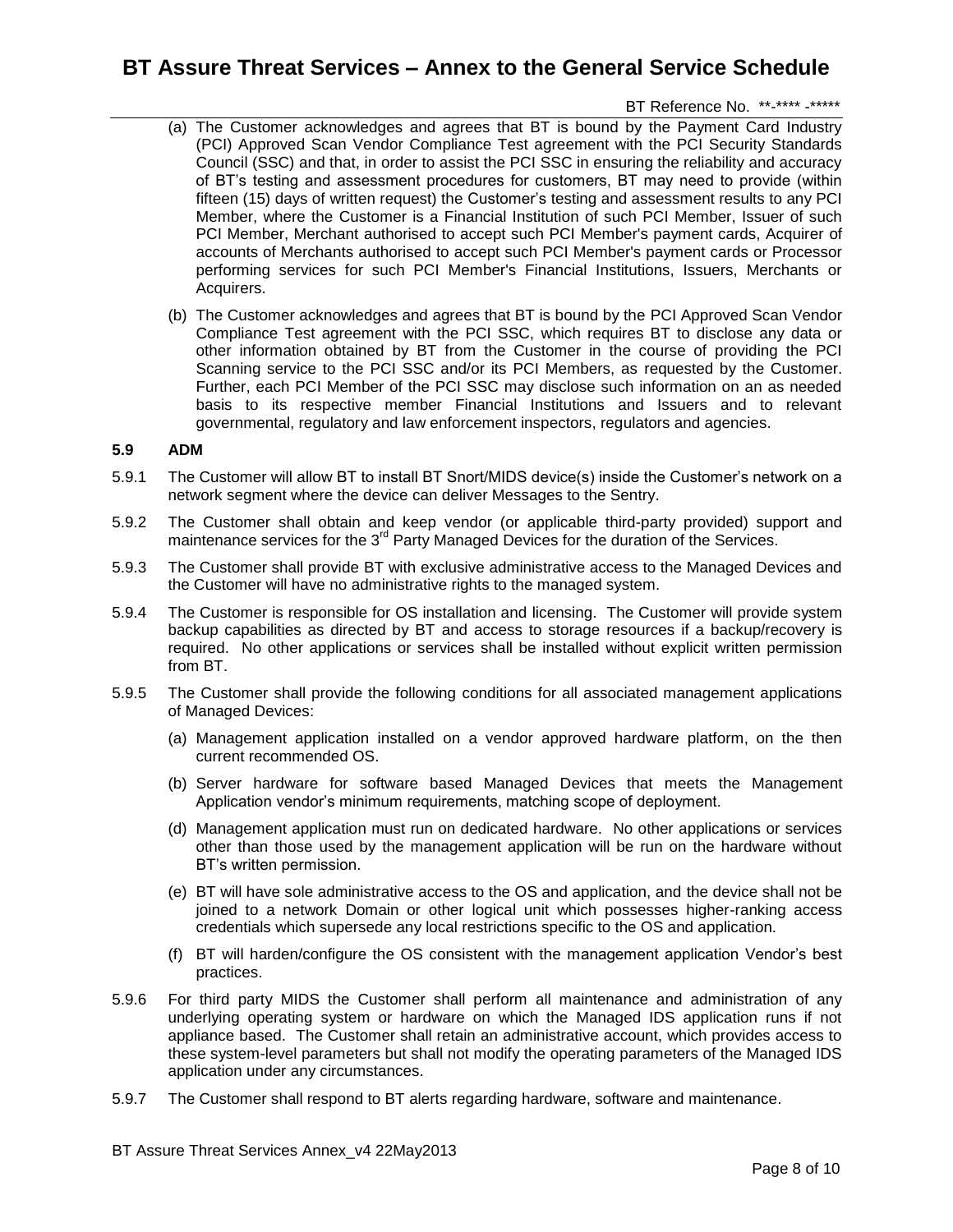### BT Reference No. \*\*-\*\*\*\* -\*\*\*\*\*

- (a) The Customer acknowledges and agrees that BT is bound by the Payment Card Industry (PCI) Approved Scan Vendor Compliance Test agreement with the PCI Security Standards Council (SSC) and that, in order to assist the PCI SSC in ensuring the reliability and accuracy of BT's testing and assessment procedures for customers, BT may need to provide (within fifteen (15) days of written request) the Customer's testing and assessment results to any PCI Member, where the Customer is a Financial Institution of such PCI Member, Issuer of such PCI Member, Merchant authorised to accept such PCI Member's payment cards, Acquirer of accounts of Merchants authorised to accept such PCI Member's payment cards or Processor performing services for such PCI Member's Financial Institutions, Issuers, Merchants or Acquirers.
- (b) The Customer acknowledges and agrees that BT is bound by the PCI Approved Scan Vendor Compliance Test agreement with the PCI SSC, which requires BT to disclose any data or other information obtained by BT from the Customer in the course of providing the PCI Scanning service to the PCI SSC and/or its PCI Members, as requested by the Customer. Further, each PCI Member of the PCI SSC may disclose such information on an as needed basis to its respective member Financial Institutions and Issuers and to relevant governmental, regulatory and law enforcement inspectors, regulators and agencies.

#### **5.9 ADM**

- 5.9.1 The Customer will allow BT to install BT Snort/MIDS device(s) inside the Customer's network on a network segment where the device can deliver Messages to the Sentry.
- 5.9.2 The Customer shall obtain and keep vendor (or applicable third-party provided) support and maintenance services for the 3<sup>rd</sup> Party Managed Devices for the duration of the Services.
- 5.9.3 The Customer shall provide BT with exclusive administrative access to the Managed Devices and the Customer will have no administrative rights to the managed system.
- 5.9.4 The Customer is responsible for OS installation and licensing. The Customer will provide system backup capabilities as directed by BT and access to storage resources if a backup/recovery is required. No other applications or services shall be installed without explicit written permission from BT.
- 5.9.5 The Customer shall provide the following conditions for all associated management applications of Managed Devices:
	- (a) Management application installed on a vendor approved hardware platform, on the then current recommended OS.
	- (b) Server hardware for software based Managed Devices that meets the Management Application vendor's minimum requirements, matching scope of deployment.
	- (d) Management application must run on dedicated hardware. No other applications or services other than those used by the management application will be run on the hardware without BT's written permission.
	- (e) BT will have sole administrative access to the OS and application, and the device shall not be joined to a network Domain or other logical unit which possesses higher-ranking access credentials which supersede any local restrictions specific to the OS and application.
	- (f) BT will harden/configure the OS consistent with the management application Vendor's best practices.
- 5.9.6 For third party MIDS the Customer shall perform all maintenance and administration of any underlying operating system or hardware on which the Managed IDS application runs if not appliance based. The Customer shall retain an administrative account, which provides access to these system-level parameters but shall not modify the operating parameters of the Managed IDS application under any circumstances.
- 5.9.7 The Customer shall respond to BT alerts regarding hardware, software and maintenance.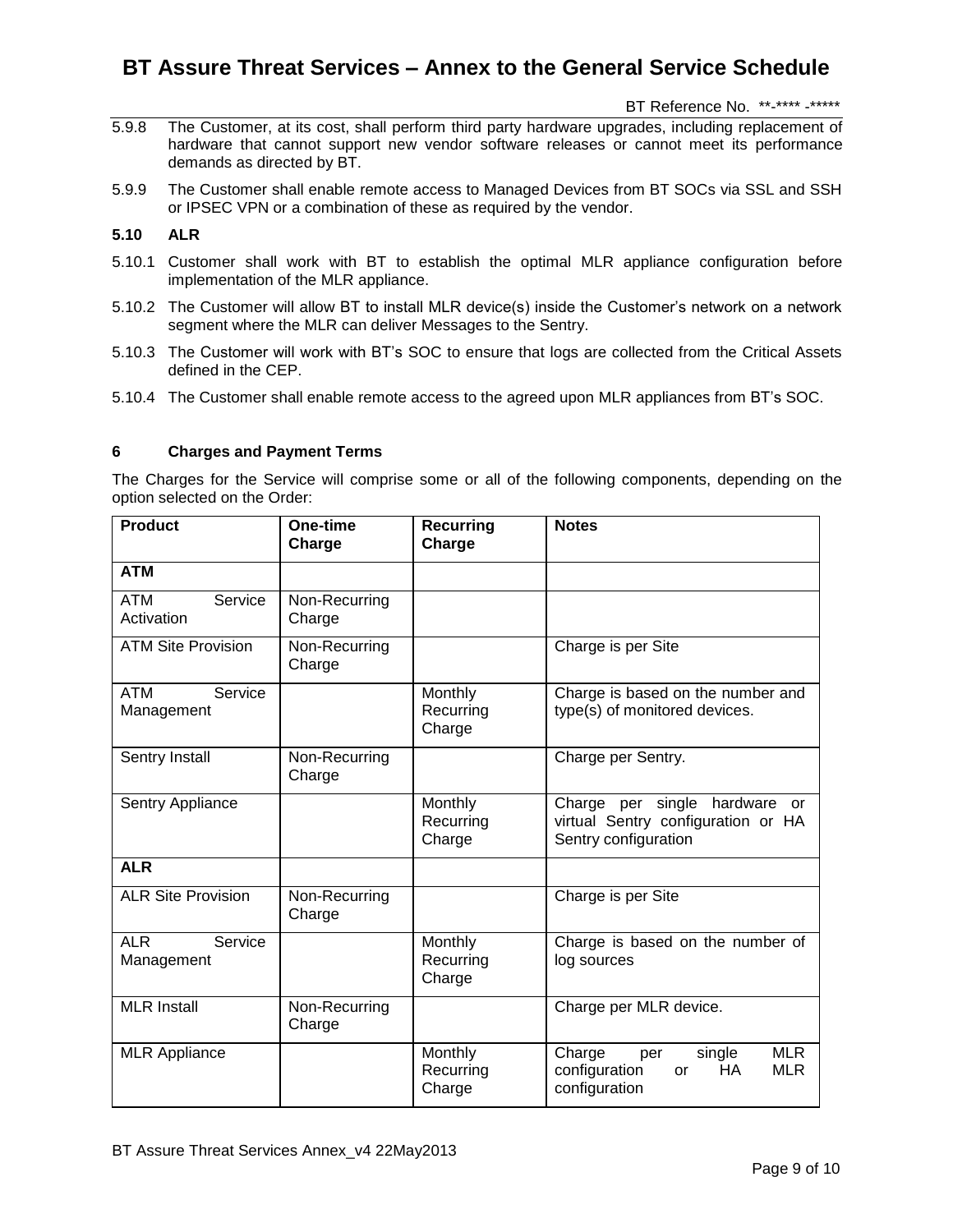BT Reference No. \*\*-\*\*\*\* -\*\*\*\*\*

- 5.9.8 The Customer, at its cost, shall perform third party hardware upgrades, including replacement of hardware that cannot support new vendor software releases or cannot meet its performance demands as directed by BT.
- 5.9.9 The Customer shall enable remote access to Managed Devices from BT SOCs via SSL and SSH or IPSEC VPN or a combination of these as required by the vendor.

### **5.10 ALR**

- 5.10.1 Customer shall work with BT to establish the optimal MLR appliance configuration before implementation of the MLR appliance.
- 5.10.2 The Customer will allow BT to install MLR device(s) inside the Customer's network on a network segment where the MLR can deliver Messages to the Sentry.
- 5.10.3 The Customer will work with BT's SOC to ensure that logs are collected from the Critical Assets defined in the CEP.
- 5.10.4 The Customer shall enable remote access to the agreed upon MLR appliances from BT's SOC.

### **6 Charges and Payment Terms**

The Charges for the Service will comprise some or all of the following components, depending on the option selected on the Order:

| <b>Product</b>                      | One-time<br>Charge      | <b>Recurring</b><br>Charge     | <b>Notes</b>                                                                                       |
|-------------------------------------|-------------------------|--------------------------------|----------------------------------------------------------------------------------------------------|
| <b>ATM</b>                          |                         |                                |                                                                                                    |
| <b>ATM</b><br>Service<br>Activation | Non-Recurring<br>Charge |                                |                                                                                                    |
| <b>ATM Site Provision</b>           | Non-Recurring<br>Charge |                                | Charge is per Site                                                                                 |
| ATM<br>Service<br>Management        |                         | Monthly<br>Recurring<br>Charge | Charge is based on the number and<br>type(s) of monitored devices.                                 |
| Sentry Install                      | Non-Recurring<br>Charge |                                | Charge per Sentry.                                                                                 |
| Sentry Appliance                    |                         | Monthly<br>Recurring<br>Charge | Charge per single hardware or<br>virtual Sentry configuration or HA<br>Sentry configuration        |
| <b>ALR</b>                          |                         |                                |                                                                                                    |
| <b>ALR Site Provision</b>           | Non-Recurring<br>Charge |                                | Charge is per Site                                                                                 |
| <b>ALR</b><br>Service<br>Management |                         | Monthly<br>Recurring<br>Charge | Charge is based on the number of<br>log sources                                                    |
| <b>MLR</b> Install                  | Non-Recurring<br>Charge |                                | Charge per MLR device.                                                                             |
| <b>MLR Appliance</b>                |                         | Monthly<br>Recurring<br>Charge | <b>MLR</b><br>Charge<br>single<br>per<br>configuration<br>HA.<br><b>MLR</b><br>or<br>configuration |